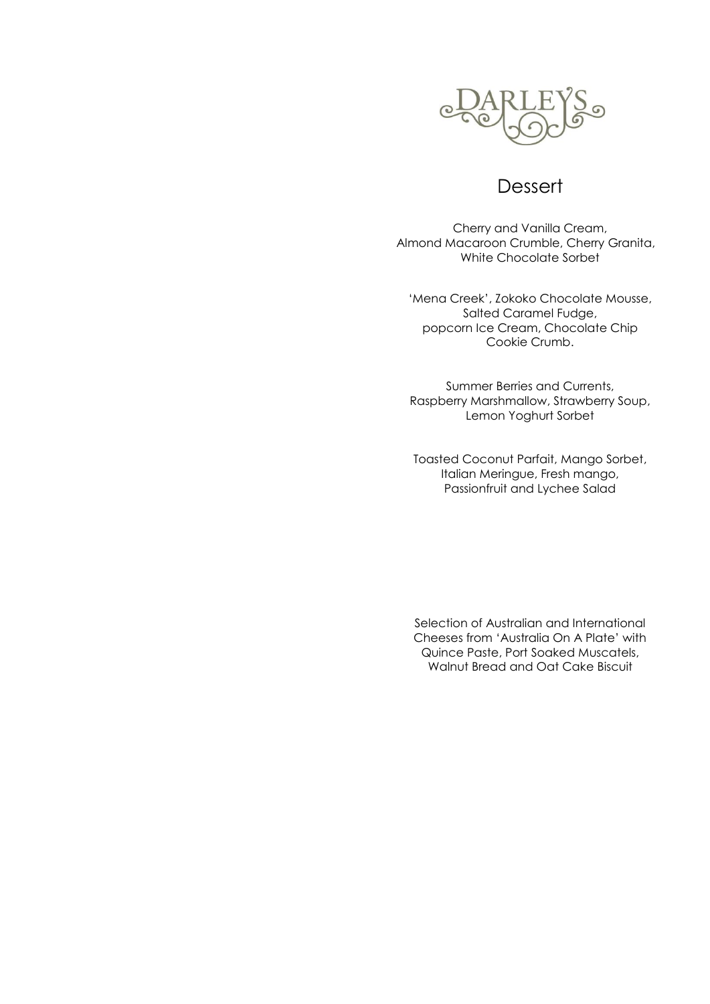

## **Dessert**

Cherry and Vanilla Cream, Almond Macaroon Crumble, Cherry Granita, White Chocolate Sorbet

'Mena Creek', Zokoko Chocolate Mousse, Salted Caramel Fudge, popcorn Ice Cream, Chocolate Chip Cookie Crumb.

Summer Berries and Currents, Raspberry Marshmallow, Strawberry Soup, Lemon Yoghurt Sorbet

Toasted Coconut Parfait, Mango Sorbet, Italian Meringue, Fresh mango, Passionfruit and Lychee Salad

Selection of Australian and International Cheeses from 'Australia On A Plate' with Quince Paste, Port Soaked Muscatels, Walnut Bread and Oat Cake Biscuit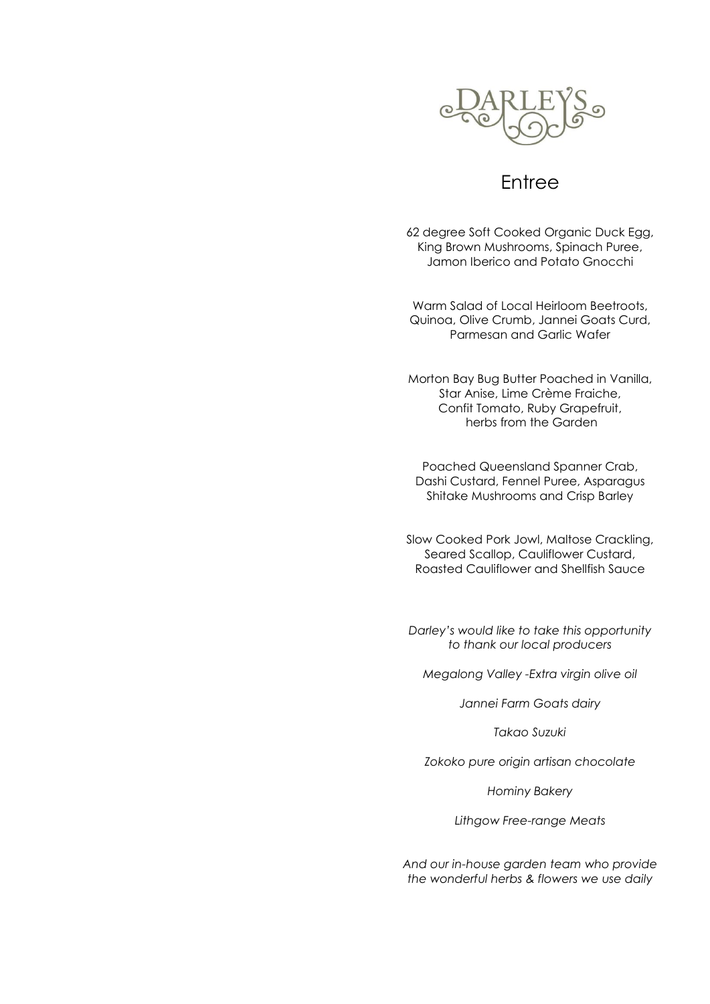

## Entree

62 degree Soft Cooked Organic Duck Egg, King Brown Mushrooms, Spinach Puree, Jamon Iberico and Potato Gnocchi

Warm Salad of Local Heirloom Beetroots, Quinoa, Olive Crumb, Jannei Goats Curd, Parmesan and Garlic Wafer

Morton Bay Bug Butter Poached in Vanilla, Star Anise, Lime Crème Fraiche, Confit Tomato, Ruby Grapefruit, herbs from the Garden

Poached Queensland Spanner Crab, Dashi Custard, Fennel Puree, Asparagus Shitake Mushrooms and Crisp Barley

Slow Cooked Pork Jowl, Maltose Crackling, Seared Scallop, Cauliflower Custard, Roasted Cauliflower and Shellfish Sauce

*Darley's would like to take this opportunity to thank our local producers*

*Megalong Valley -Extra virgin olive oil*

*Jannei Farm Goats dairy*

*Takao Suzuki*

*Zokoko pure origin artisan chocolate*

*Hominy Bakery*

*Lithgow Free-range Meats*

*And our in-house garden team who provide the wonderful herbs & flowers we use daily*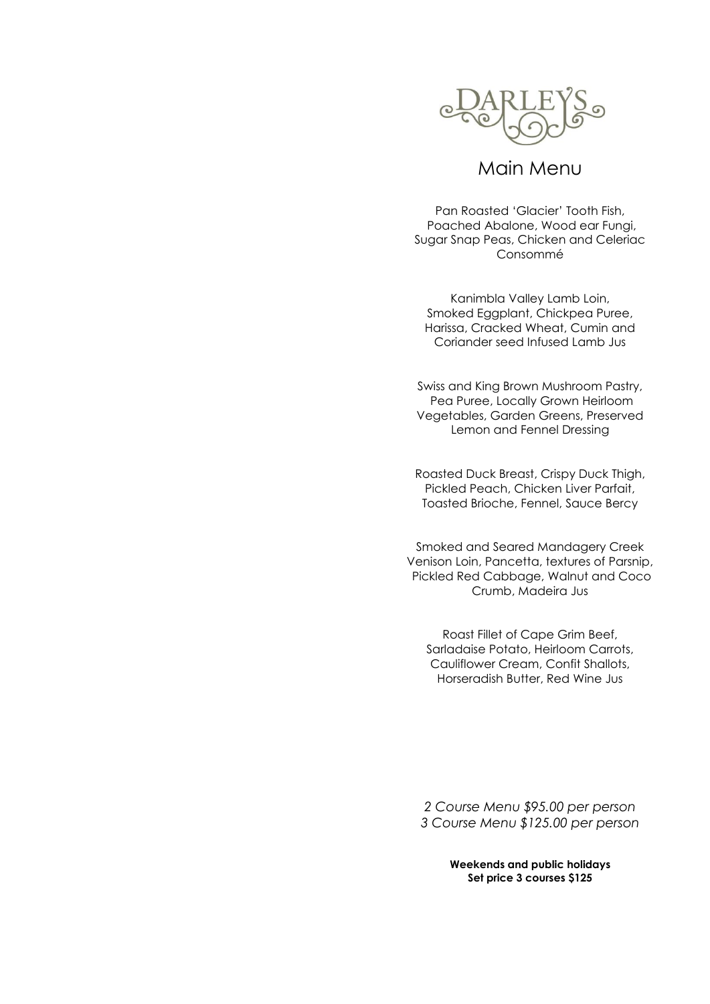

## Main Menu

Pan Roasted 'Glacier' Tooth Fish, Poached Abalone, Wood ear Fungi, Sugar Snap Peas, Chicken and Celeriac Consommé

Kanimbla Valley Lamb Loin, Smoked Eggplant, Chickpea Puree, Harissa, Cracked Wheat, Cumin and Coriander seed Infused Lamb Jus

Swiss and King Brown Mushroom Pastry, Pea Puree, Locally Grown Heirloom Vegetables, Garden Greens, Preserved Lemon and Fennel Dressing

Roasted Duck Breast, Crispy Duck Thigh, Pickled Peach, Chicken Liver Parfait, Toasted Brioche, Fennel, Sauce Bercy

Smoked and Seared Mandagery Creek Venison Loin, Pancetta, textures of Parsnip, Pickled Red Cabbage, Walnut and Coco Crumb, Madeira Jus

Roast Fillet of Cape Grim Beef, Sarladaise Potato, Heirloom Carrots, Cauliflower Cream, Confit Shallots, Horseradish Butter, Red Wine Jus

*2 Course Menu \$95.00 per person 3 Course Menu \$125.00 per person*

> **Weekends and public holidays Set price 3 courses \$125**